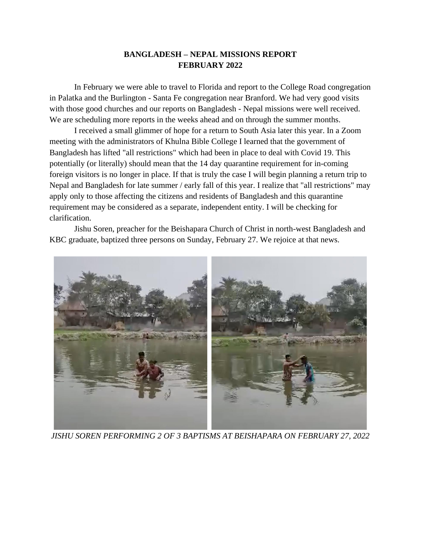## **BANGLADESH – NEPAL MISSIONS REPORT FEBRUARY 2022**

In February we were able to travel to Florida and report to the College Road congregation in Palatka and the Burlington - Santa Fe congregation near Branford. We had very good visits with those good churches and our reports on Bangladesh - Nepal missions were well received. We are scheduling more reports in the weeks ahead and on through the summer months.

I received a small glimmer of hope for a return to South Asia later this year. In a Zoom meeting with the administrators of Khulna Bible College I learned that the government of Bangladesh has lifted "all restrictions" which had been in place to deal with Covid 19. This potentially (or literally) should mean that the 14 day quarantine requirement for in-coming foreign visitors is no longer in place. If that is truly the case I will begin planning a return trip to Nepal and Bangladesh for late summer / early fall of this year. I realize that "all restrictions" may apply only to those affecting the citizens and residents of Bangladesh and this quarantine requirement may be considered as a separate, independent entity. I will be checking for clarification.

Jishu Soren, preacher for the Beishapara Church of Christ in north-west Bangladesh and KBC graduate, baptized three persons on Sunday, February 27. We rejoice at that news.



*JISHU SOREN PERFORMING 2 OF 3 BAPTISMS AT BEISHAPARA ON FEBRUARY 27, 2022*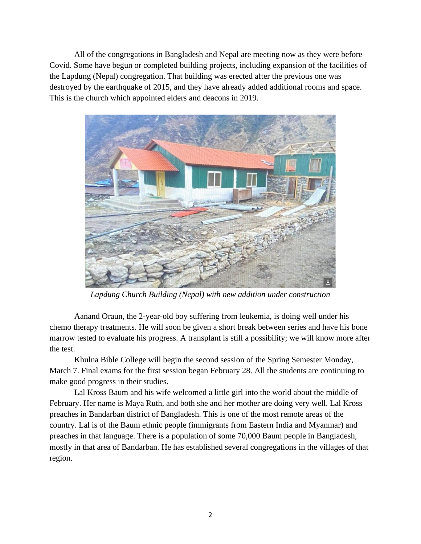All of the congregations in Bangladesh and Nepal are meeting now as they were before Covid. Some have begun or completed building projects, including expansion of the facilities of the Lapdung (Nepal) congregation. That building was erected after the previous one was destroyed by the earthquake of 2015, and they have already added additional rooms and space. This is the church which appointed elders and deacons in 2019.



*Lapdung Church Building (Nepal) with new addition under construction*

Aanand Oraun, the 2-year-old boy suffering from leukemia, is doing well under his chemo therapy treatments. He will soon be given a short break between series and have his bone marrow tested to evaluate his progress. A transplant is still a possibility; we will know more after the test.

Khulna Bible College will begin the second session of the Spring Semester Monday, March 7. Final exams for the first session began February 28. All the students are continuing to make good progress in their studies.

Lal Kross Baum and his wife welcomed a little girl into the world about the middle of February. Her name is Maya Ruth, and both she and her mother are doing very well. Lal Kross preaches in Bandarban district of Bangladesh. This is one of the most remote areas of the country. Lal is of the Baum ethnic people (immigrants from Eastern India and Myanmar) and preaches in that language. There is a population of some 70,000 Baum people in Bangladesh, mostly in that area of Bandarban. He has established several congregations in the villages of that region.